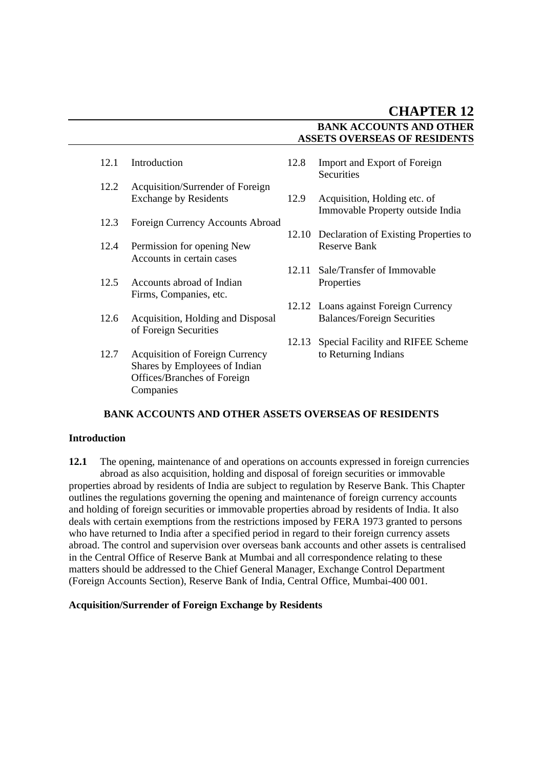- 
- 12.2 Acquisition/Surrender of Foreign<br>Exchange by Residents
- 12.3 Foreign Currency Accounts Abroad
- 12.4 Permission for opening New Reserve Bank Accounts in certain cases
- 12.5 Accounts abroad of Indian Properties Firms, Companies, etc.
- 12.6 Acquisition, Holding and Disposal Balances/Foreign Securities of Foreign Securities
- 12.7 Acquisition of Foreign Currency to Returning Indians Shares by Employees of Indian Offices/Branches of Foreign Companies
- 12.1 Introduction 12.8 Import and Export of Foreign **Securities** 
	- 12.9 Acquisition, Holding etc. of Immovable Property outside India
	- 12.10 Declaration of Existing Properties to
	- 12.11 Sale/Transfer of Immovable
	- 12.12 Loans against Foreign Currency
	- 12.13 Special Facility and RIFEE Scheme

# **BANK ACCOUNTS AND OTHER ASSETS OVERSEAS OF RESIDENTS**

### **Introduction**

**12.1** The opening, maintenance of and operations on accounts expressed in foreign currencies abroad as also acquisition, holding and disposal of foreign securities or immovable properties abroad by residents of India are subject to regulation by Reserve Bank. This Chapter outlines the regulations governing the opening and maintenance of foreign currency accounts and holding of foreign securities or immovable properties abroad by residents of India. It also deals with certain exemptions from the restrictions imposed by FERA 1973 granted to persons who have returned to India after a specified period in regard to their foreign currency assets abroad. The control and supervision over overseas bank accounts and other assets is centralised in the Central Office of Reserve Bank at Mumbai and all correspondence relating to these matters should be addressed to the Chief General Manager, Exchange Control Department (Foreign Accounts Section), Reserve Bank of India, Central Office, Mumbai-400 001.

### **Acquisition/Surrender of Foreign Exchange by Residents**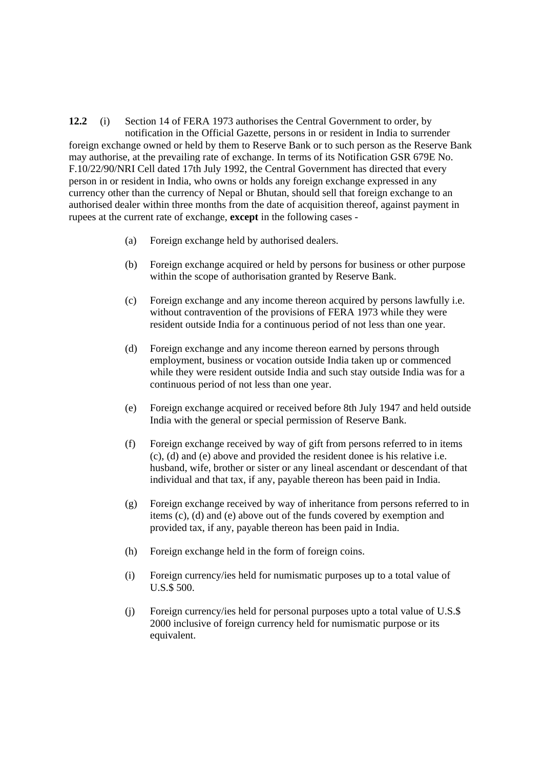**12.2** (i) Section 14 of FERA 1973 authorises the Central Government to order, by notification in the Official Gazette, persons in or resident in India to surrender foreign exchange owned or held by them to Reserve Bank or to such person as the Reserve Bank may authorise, at the prevailing rate of exchange. In terms of its Notification GSR 679E No. F.10/22/90/NRI Cell dated 17th July 1992, the Central Government has directed that every person in or resident in India, who owns or holds any foreign exchange expressed in any currency other than the currency of Nepal or Bhutan, should sell that foreign exchange to an authorised dealer within three months from the date of acquisition thereof, against payment in rupees at the current rate of exchange, **except** in the following cases -

- (a) Foreign exchange held by authorised dealers.
- (b) Foreign exchange acquired or held by persons for business or other purpose within the scope of authorisation granted by Reserve Bank.
- (c) Foreign exchange and any income thereon acquired by persons lawfully i.e. without contravention of the provisions of FERA 1973 while they were resident outside India for a continuous period of not less than one year.
- (d) Foreign exchange and any income thereon earned by persons through employment, business or vocation outside India taken up or commenced while they were resident outside India and such stay outside India was for a continuous period of not less than one year.
- (e) Foreign exchange acquired or received before 8th July 1947 and held outside India with the general or special permission of Reserve Bank.
- (f) Foreign exchange received by way of gift from persons referred to in items (c), (d) and (e) above and provided the resident donee is his relative i.e. husband, wife, brother or sister or any lineal ascendant or descendant of that individual and that tax, if any, payable thereon has been paid in India.
- (g) Foreign exchange received by way of inheritance from persons referred to in items (c), (d) and (e) above out of the funds covered by exemption and provided tax, if any, payable thereon has been paid in India.
- (h) Foreign exchange held in the form of foreign coins.
- (i) Foreign currency/ies held for numismatic purposes up to a total value of U.S.\$ 500.
- (j) Foreign currency/ies held for personal purposes upto a total value of U.S.\$ 2000 inclusive of foreign currency held for numismatic purpose or its equivalent.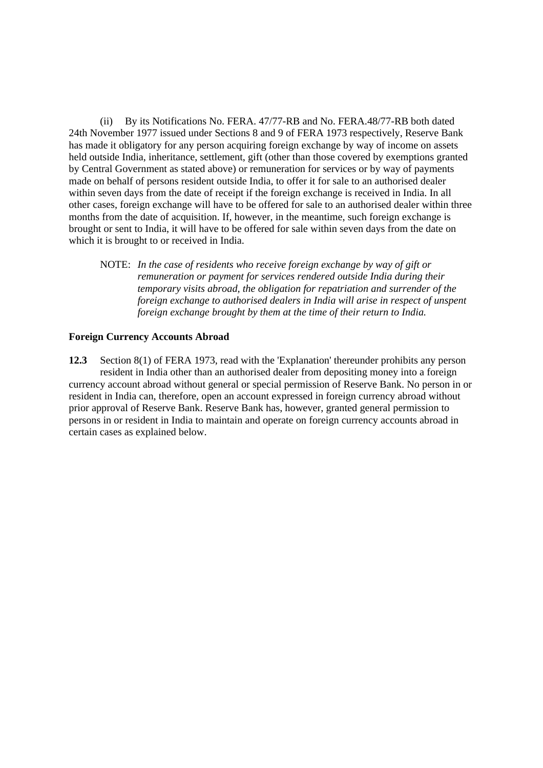(ii) By its Notifications No. FERA. 47/77-RB and No. FERA.48/77-RB both dated 24th November 1977 issued under Sections 8 and 9 of FERA 1973 respectively, Reserve Bank has made it obligatory for any person acquiring foreign exchange by way of income on assets held outside India, inheritance, settlement, gift (other than those covered by exemptions granted by Central Government as stated above) or remuneration for services or by way of payments made on behalf of persons resident outside India, to offer it for sale to an authorised dealer within seven days from the date of receipt if the foreign exchange is received in India. In all other cases, foreign exchange will have to be offered for sale to an authorised dealer within three months from the date of acquisition. If, however, in the meantime, such foreign exchange is brought or sent to India, it will have to be offered for sale within seven days from the date on which it is brought to or received in India.

NOTE: *In the case of residents who receive foreign exchange by way of gift or remuneration or payment for services rendered outside India during their temporary visits abroad, the obligation for repatriation and surrender of the foreign exchange to authorised dealers in India will arise in respect of unspent foreign exchange brought by them at the time of their return to India.*

### **Foreign Currency Accounts Abroad**

**12.3** Section 8(1) of FERA 1973, read with the 'Explanation' thereunder prohibits any person resident in India other than an authorised dealer from depositing money into a foreign currency account abroad without general or special permission of Reserve Bank. No person in or resident in India can, therefore, open an account expressed in foreign currency abroad without prior approval of Reserve Bank. Reserve Bank has, however, granted general permission to persons in or resident in India to maintain and operate on foreign currency accounts abroad in certain cases as explained below.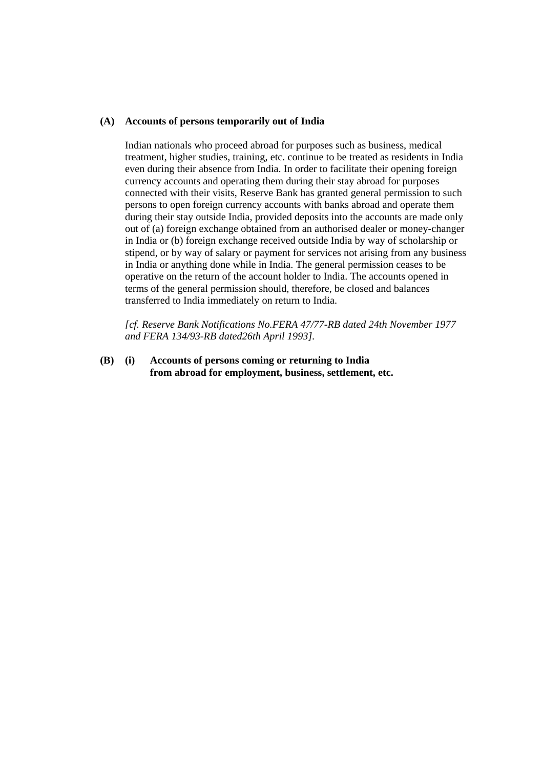#### **(A) Accounts of persons temporarily out of India**

Indian nationals who proceed abroad for purposes such as business, medical treatment, higher studies, training, etc. continue to be treated as residents in India even during their absence from India. In order to facilitate their opening foreign currency accounts and operating them during their stay abroad for purposes connected with their visits, Reserve Bank has granted general permission to such persons to open foreign currency accounts with banks abroad and operate them during their stay outside India, provided deposits into the accounts are made only out of (a) foreign exchange obtained from an authorised dealer or money-changer in India or (b) foreign exchange received outside India by way of scholarship or stipend, or by way of salary or payment for services not arising from any business in India or anything done while in India. The general permission ceases to be operative on the return of the account holder to India. The accounts opened in terms of the general permission should, therefore, be closed and balances transferred to India immediately on return to India.

*[cf. Reserve Bank Notifications No.FERA 47/77-RB dated 24th November 1977 and FERA 134/93-RB dated26th April 1993].*

**(B) (i) Accounts of persons coming or returning to India from abroad for employment, business, settlement, etc.**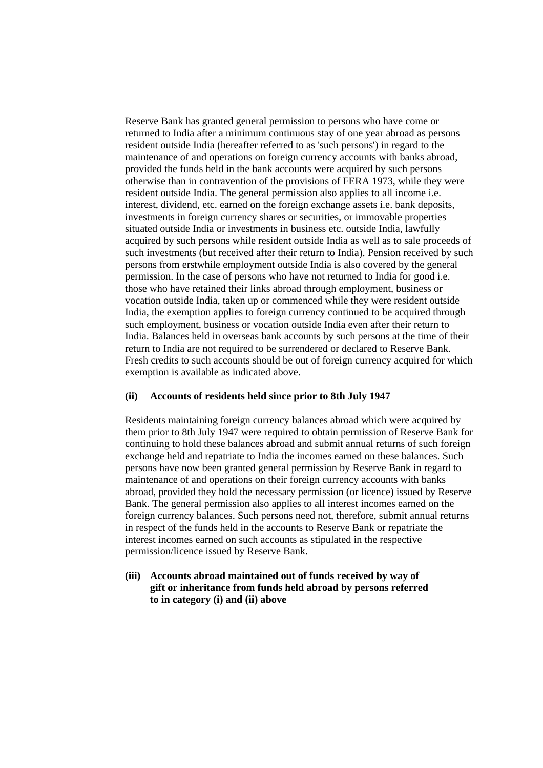Reserve Bank has granted general permission to persons who have come or returned to India after a minimum continuous stay of one year abroad as persons resident outside India (hereafter referred to as 'such persons') in regard to the maintenance of and operations on foreign currency accounts with banks abroad, provided the funds held in the bank accounts were acquired by such persons otherwise than in contravention of the provisions of FERA 1973, while they were resident outside India. The general permission also applies to all income i.e. interest, dividend, etc. earned on the foreign exchange assets i.e. bank deposits, investments in foreign currency shares or securities, or immovable properties situated outside India or investments in business etc. outside India, lawfully acquired by such persons while resident outside India as well as to sale proceeds of such investments (but received after their return to India). Pension received by such persons from erstwhile employment outside India is also covered by the general permission. In the case of persons who have not returned to India for good i.e. those who have retained their links abroad through employment, business or vocation outside India, taken up or commenced while they were resident outside India, the exemption applies to foreign currency continued to be acquired through such employment, business or vocation outside India even after their return to India. Balances held in overseas bank accounts by such persons at the time of their return to India are not required to be surrendered or declared to Reserve Bank. Fresh credits to such accounts should be out of foreign currency acquired for which exemption is available as indicated above.

### **(ii) Accounts of residents held since prior to 8th July 1947**

Residents maintaining foreign currency balances abroad which were acquired by them prior to 8th July 1947 were required to obtain permission of Reserve Bank for continuing to hold these balances abroad and submit annual returns of such foreign exchange held and repatriate to India the incomes earned on these balances. Such persons have now been granted general permission by Reserve Bank in regard to maintenance of and operations on their foreign currency accounts with banks abroad, provided they hold the necessary permission (or licence) issued by Reserve Bank. The general permission also applies to all interest incomes earned on the foreign currency balances. Such persons need not, therefore, submit annual returns in respect of the funds held in the accounts to Reserve Bank or repatriate the interest incomes earned on such accounts as stipulated in the respective permission/licence issued by Reserve Bank.

**(iii) Accounts abroad maintained out of funds received by way of gift or inheritance from funds held abroad by persons referred to in category (i) and (ii) above**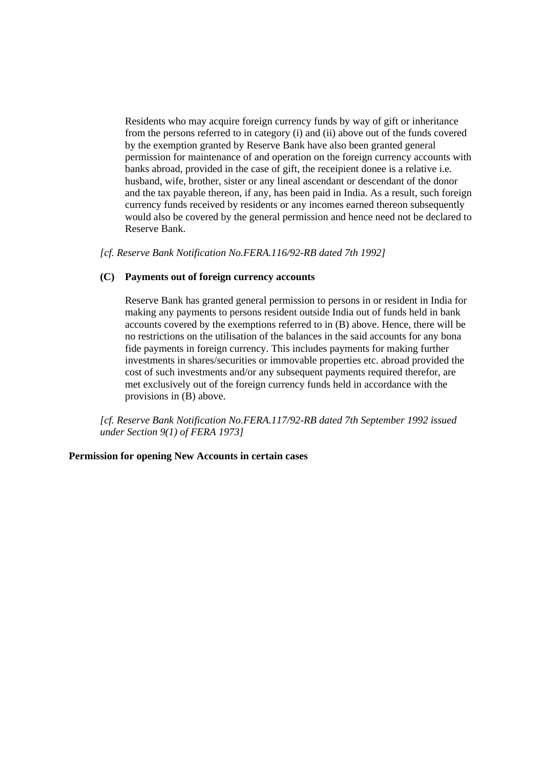Residents who may acquire foreign currency funds by way of gift or inheritance from the persons referred to in category (i) and (ii) above out of the funds covered by the exemption granted by Reserve Bank have also been granted general permission for maintenance of and operation on the foreign currency accounts with banks abroad, provided in the case of gift, the receipient donee is a relative i.e. husband, wife, brother, sister or any lineal ascendant or descendant of the donor and the tax payable thereon, if any, has been paid in India. As a result, such foreign currency funds received by residents or any incomes earned thereon subsequently would also be covered by the general permission and hence need not be declared to Reserve Bank.

*[cf. Reserve Bank Notification No.FERA.116/92-RB dated 7th 1992]*

### **(C) Payments out of foreign currency accounts**

Reserve Bank has granted general permission to persons in or resident in India for making any payments to persons resident outside India out of funds held in bank accounts covered by the exemptions referred to in (B) above. Hence, there will be no restrictions on the utilisation of the balances in the said accounts for any bona fide payments in foreign currency. This includes payments for making further investments in shares/securities or immovable properties etc. abroad provided the cost of such investments and/or any subsequent payments required therefor, are met exclusively out of the foreign currency funds held in accordance with the provisions in (B) above.

*[cf. Reserve Bank Notification No.FERA.117/92-RB dated 7th September 1992 issued under Section 9(1) of FERA 1973]*

### **Permission for opening New Accounts in certain cases**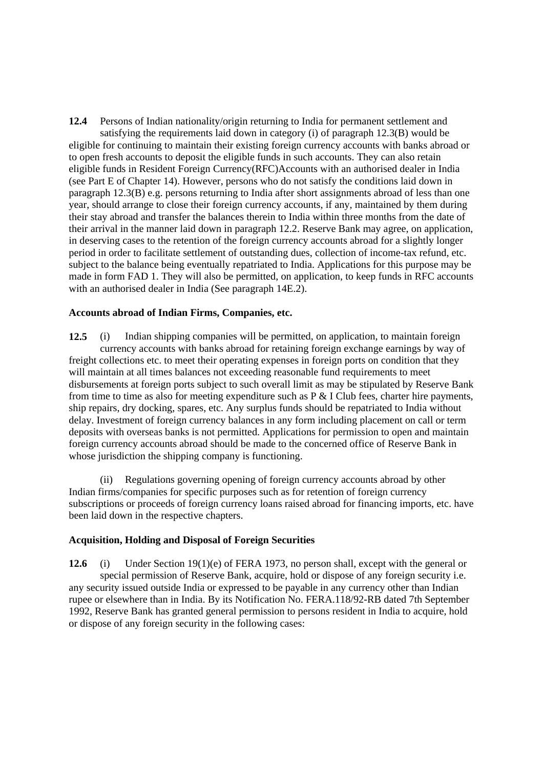**12.4** Persons of Indian nationality/origin returning to India for permanent settlement and satisfying the requirements laid down in category (i) of paragraph 12.3(B) would be eligible for continuing to maintain their existing foreign currency accounts with banks abroad or to open fresh accounts to deposit the eligible funds in such accounts. They can also retain eligible funds in Resident Foreign Currency(RFC)Accounts with an authorised dealer in India (see Part E of Chapter 14). However, persons who do not satisfy the conditions laid down in paragraph 12.3(B) e.g. persons returning to India after short assignments abroad of less than one year, should arrange to close their foreign currency accounts, if any, maintained by them during their stay abroad and transfer the balances therein to India within three months from the date of their arrival in the manner laid down in paragraph 12.2. Reserve Bank may agree, on application, in deserving cases to the retention of the foreign currency accounts abroad for a slightly longer period in order to facilitate settlement of outstanding dues, collection of income-tax refund, etc. subject to the balance being eventually repatriated to India. Applications for this purpose may be made in form FAD 1. They will also be permitted, on application, to keep funds in RFC accounts with an authorised dealer in India (See paragraph 14E.2).

#### **Accounts abroad of Indian Firms, Companies, etc.**

**12.5** (i) Indian shipping companies will be permitted, on application, to maintain foreign currency accounts with banks abroad for retaining foreign exchange earnings by way of freight collections etc. to meet their operating expenses in foreign ports on condition that they will maintain at all times balances not exceeding reasonable fund requirements to meet disbursements at foreign ports subject to such overall limit as may be stipulated by Reserve Bank from time to time as also for meeting expenditure such as  $P \& I$  Club fees, charter hire payments, ship repairs, dry docking, spares, etc. Any surplus funds should be repatriated to India without delay. Investment of foreign currency balances in any form including placement on call or term deposits with overseas banks is not permitted. Applications for permission to open and maintain foreign currency accounts abroad should be made to the concerned office of Reserve Bank in whose jurisdiction the shipping company is functioning.

(ii) Regulations governing opening of foreign currency accounts abroad by other Indian firms/companies for specific purposes such as for retention of foreign currency subscriptions or proceeds of foreign currency loans raised abroad for financing imports, etc. have been laid down in the respective chapters.

### **Acquisition, Holding and Disposal of Foreign Securities**

**12.6** (i) Under Section 19(1)(e) of FERA 1973, no person shall, except with the general or special permission of Reserve Bank, acquire, hold or dispose of any foreign security i.e. any security issued outside India or expressed to be payable in any currency other than Indian rupee or elsewhere than in India. By its Notification No. FERA.118/92-RB dated 7th September 1992, Reserve Bank has granted general permission to persons resident in India to acquire, hold or dispose of any foreign security in the following cases: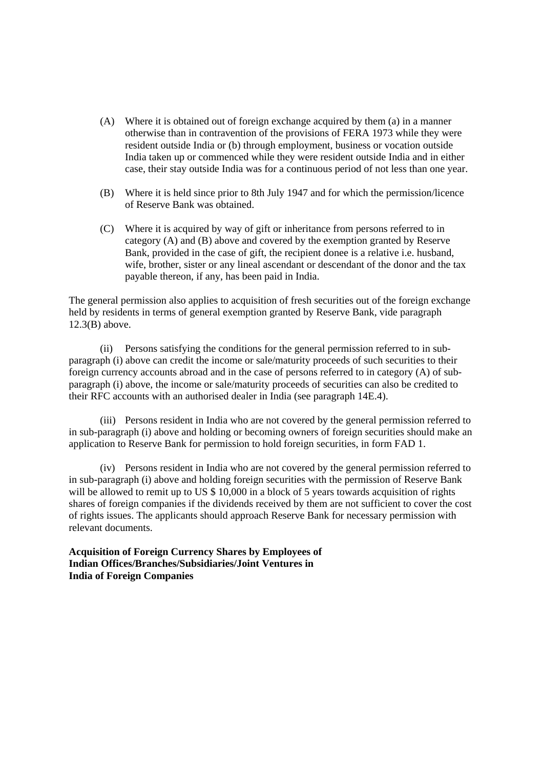- (A) Where it is obtained out of foreign exchange acquired by them (a) in a manner otherwise than in contravention of the provisions of FERA 1973 while they were resident outside India or (b) through employment, business or vocation outside India taken up or commenced while they were resident outside India and in either case, their stay outside India was for a continuous period of not less than one year.
- (B) Where it is held since prior to 8th July 1947 and for which the permission/licence of Reserve Bank was obtained.
- (C) Where it is acquired by way of gift or inheritance from persons referred to in category (A) and (B) above and covered by the exemption granted by Reserve Bank, provided in the case of gift, the recipient donee is a relative i.e. husband, wife, brother, sister or any lineal ascendant or descendant of the donor and the tax payable thereon, if any, has been paid in India.

The general permission also applies to acquisition of fresh securities out of the foreign exchange held by residents in terms of general exemption granted by Reserve Bank, vide paragraph 12.3(B) above.

(ii) Persons satisfying the conditions for the general permission referred to in subparagraph (i) above can credit the income or sale/maturity proceeds of such securities to their foreign currency accounts abroad and in the case of persons referred to in category (A) of subparagraph (i) above, the income or sale/maturity proceeds of securities can also be credited to their RFC accounts with an authorised dealer in India (see paragraph 14E.4).

(iii) Persons resident in India who are not covered by the general permission referred to in sub-paragraph (i) above and holding or becoming owners of foreign securities should make an application to Reserve Bank for permission to hold foreign securities, in form FAD 1.

(iv) Persons resident in India who are not covered by the general permission referred to in sub-paragraph (i) above and holding foreign securities with the permission of Reserve Bank will be allowed to remit up to US  $$ 10,000$  in a block of 5 years towards acquisition of rights shares of foreign companies if the dividends received by them are not sufficient to cover the cost of rights issues. The applicants should approach Reserve Bank for necessary permission with relevant documents.

**Acquisition of Foreign Currency Shares by Employees of Indian Offices/Branches/Subsidiaries/Joint Ventures in India of Foreign Companies**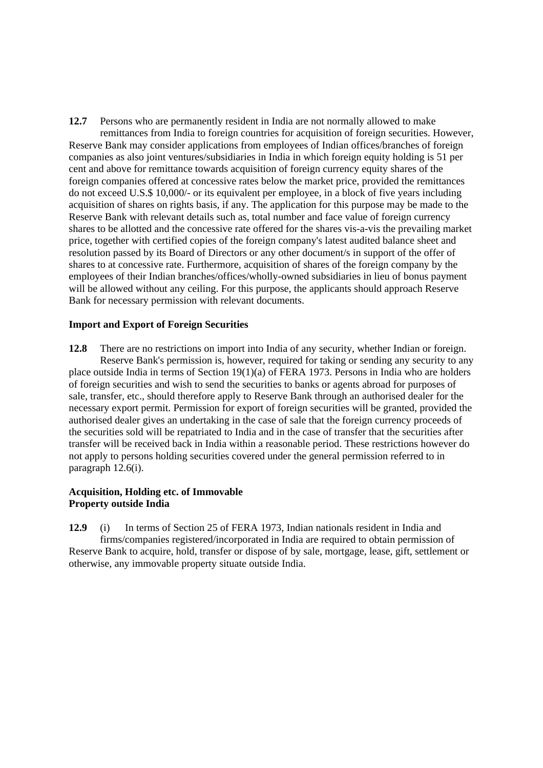**12.7** Persons who are permanently resident in India are not normally allowed to make remittances from India to foreign countries for acquisition of foreign securities. However, Reserve Bank may consider applications from employees of Indian offices/branches of foreign companies as also joint ventures/subsidiaries in India in which foreign equity holding is 51 per cent and above for remittance towards acquisition of foreign currency equity shares of the foreign companies offered at concessive rates below the market price, provided the remittances do not exceed U.S.\$ 10,000/- or its equivalent per employee, in a block of five years including acquisition of shares on rights basis, if any. The application for this purpose may be made to the Reserve Bank with relevant details such as, total number and face value of foreign currency shares to be allotted and the concessive rate offered for the shares vis-a-vis the prevailing market price, together with certified copies of the foreign company's latest audited balance sheet and resolution passed by its Board of Directors or any other document/s in support of the offer of shares to at concessive rate. Furthermore, acquisition of shares of the foreign company by the employees of their Indian branches/offices/wholly-owned subsidiaries in lieu of bonus payment will be allowed without any ceiling. For this purpose, the applicants should approach Reserve Bank for necessary permission with relevant documents.

### **Import and Export of Foreign Securities**

**12.8** There are no restrictions on import into India of any security, whether Indian or foreign. Reserve Bank's permission is, however, required for taking or sending any security to any place outside India in terms of Section 19(1)(a) of FERA 1973. Persons in India who are holders of foreign securities and wish to send the securities to banks or agents abroad for purposes of sale, transfer, etc., should therefore apply to Reserve Bank through an authorised dealer for the necessary export permit. Permission for export of foreign securities will be granted, provided the authorised dealer gives an undertaking in the case of sale that the foreign currency proceeds of the securities sold will be repatriated to India and in the case of transfer that the securities after transfer will be received back in India within a reasonable period. These restrictions however do not apply to persons holding securities covered under the general permission referred to in paragraph 12.6(i).

## **Acquisition, Holding etc. of Immovable Property outside India**

**12.9** (i) In terms of Section 25 of FERA 1973, Indian nationals resident in India and firms/companies registered/incorporated in India are required to obtain permission of Reserve Bank to acquire, hold, transfer or dispose of by sale, mortgage, lease, gift, settlement or otherwise, any immovable property situate outside India.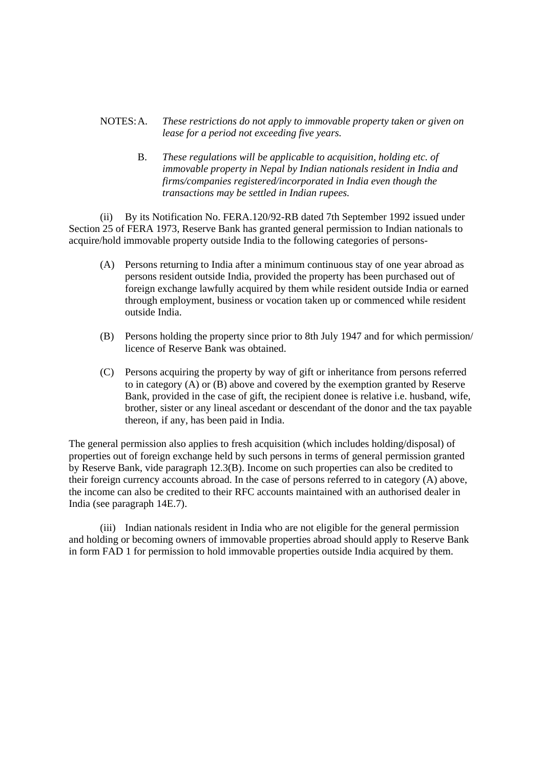# NOTES:A. *These restrictions do not apply to immovable property taken or given on lease for a period not exceeding five years.*

B. *These regulations will be applicable to acquisition, holding etc. of immovable property in Nepal by Indian nationals resident in India and firms/companies registered/incorporated in India even though the transactions may be settled in Indian rupees.*

(ii) By its Notification No. FERA.120/92-RB dated 7th September 1992 issued under Section 25 of FERA 1973, Reserve Bank has granted general permission to Indian nationals to acquire/hold immovable property outside India to the following categories of persons-

- (A) Persons returning to India after a minimum continuous stay of one year abroad as persons resident outside India, provided the property has been purchased out of foreign exchange lawfully acquired by them while resident outside India or earned through employment, business or vocation taken up or commenced while resident outside India.
- (B) Persons holding the property since prior to 8th July 1947 and for which permission/ licence of Reserve Bank was obtained.
- (C) Persons acquiring the property by way of gift or inheritance from persons referred to in category (A) or (B) above and covered by the exemption granted by Reserve Bank, provided in the case of gift, the recipient donee is relative i.e. husband, wife, brother, sister or any lineal ascedant or descendant of the donor and the tax payable thereon, if any, has been paid in India.

The general permission also applies to fresh acquisition (which includes holding/disposal) of properties out of foreign exchange held by such persons in terms of general permission granted by Reserve Bank, vide paragraph 12.3(B). Income on such properties can also be credited to their foreign currency accounts abroad. In the case of persons referred to in category (A) above, the income can also be credited to their RFC accounts maintained with an authorised dealer in India (see paragraph 14E.7).

(iii) Indian nationals resident in India who are not eligible for the general permission and holding or becoming owners of immovable properties abroad should apply to Reserve Bank in form FAD 1 for permission to hold immovable properties outside India acquired by them.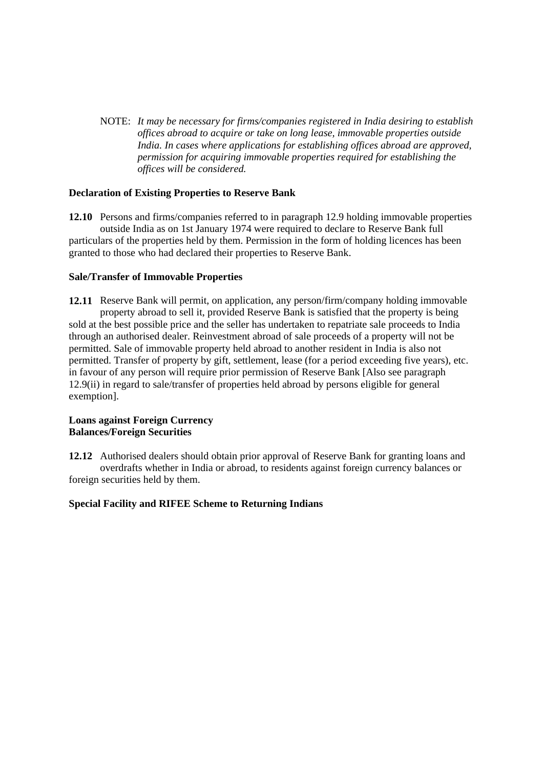NOTE: *It may be necessary for firms/companies registered in India desiring to establish offices abroad to acquire or take on long lease, immovable properties outside India. In cases where applications for establishing offices abroad are approved, permission for acquiring immovable properties required for establishing the offices will be considered.*

## **Declaration of Existing Properties to Reserve Bank**

**12.10** Persons and firms/companies referred to in paragraph 12.9 holding immovable properties outside India as on 1st January 1974 were required to declare to Reserve Bank full particulars of the properties held by them. Permission in the form of holding licences has been granted to those who had declared their properties to Reserve Bank.

## **Sale/Transfer of Immovable Properties**

**12.11** Reserve Bank will permit, on application, any person/firm/company holding immovable property abroad to sell it, provided Reserve Bank is satisfied that the property is being sold at the best possible price and the seller has undertaken to repatriate sale proceeds to India through an authorised dealer. Reinvestment abroad of sale proceeds of a property will not be permitted. Sale of immovable property held abroad to another resident in India is also not permitted. Transfer of property by gift, settlement, lease (for a period exceeding five years), etc. in favour of any person will require prior permission of Reserve Bank [Also see paragraph 12.9(ii) in regard to sale/transfer of properties held abroad by persons eligible for general exemption].

### **Loans against Foreign Currency Balances/Foreign Securities**

**12.12** Authorised dealers should obtain prior approval of Reserve Bank for granting loans and overdrafts whether in India or abroad, to residents against foreign currency balances or foreign securities held by them.

### **Special Facility and RIFEE Scheme to Returning Indians**